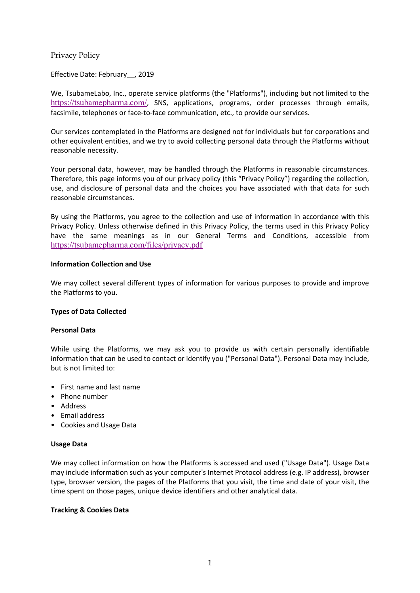# Privacy Policy

Effective Date: February\_\_, 2019

We, TsubameLabo, Inc., operate service platforms (the "Platforms"), including but not limited to the https://tsubamepharma.com/, SNS, applications, programs, order processes through emails, facsimile, telephones or face-to-face communication, etc., to provide our services.

Our services contemplated in the Platforms are designed not for individuals but for corporations and other equivalent entities, and we try to avoid collecting personal data through the Platforms without reasonable necessity.

Your personal data, however, may be handled through the Platforms in reasonable circumstances. Therefore, this page informs you of our privacy policy (this "Privacy Policy") regarding the collection, use, and disclosure of personal data and the choices you have associated with that data for such reasonable circumstances.

By using the Platforms, you agree to the collection and use of information in accordance with this Privacy Policy. Unless otherwise defined in this Privacy Policy, the terms used in this Privacy Policy have the same meanings as in our General Terms and Conditions, accessible from https://tsubamepharma.com/files/privacy.pdf

# **Information Collection and Use**

We may collect several different types of information for various purposes to provide and improve the Platforms to you.

# **Types of Data Collected**

# **Personal Data**

While using the Platforms, we may ask you to provide us with certain personally identifiable information that can be used to contact or identify you ("Personal Data"). Personal Data may include, but is not limited to:

- First name and last name
- Phone number
- Address
- Email address
- Cookies and Usage Data

# **Usage Data**

We may collect information on how the Platforms is accessed and used ("Usage Data"). Usage Data may include information such as your computer's Internet Protocol address (e.g. IP address), browser type, browser version, the pages of the Platforms that you visit, the time and date of your visit, the time spent on those pages, unique device identifiers and other analytical data.

# **Tracking & Cookies Data**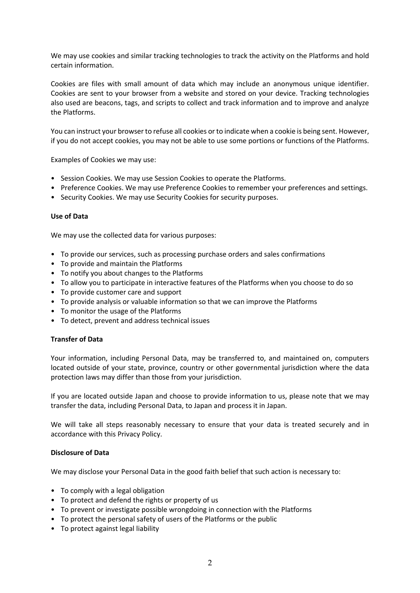We may use cookies and similar tracking technologies to track the activity on the Platforms and hold certain information.

Cookies are files with small amount of data which may include an anonymous unique identifier. Cookies are sent to your browser from a website and stored on your device. Tracking technologies also used are beacons, tags, and scripts to collect and track information and to improve and analyze the Platforms.

You can instruct your browser to refuse all cookies or to indicate when a cookie is being sent. However, if you do not accept cookies, you may not be able to use some portions or functions of the Platforms.

Examples of Cookies we may use:

- Session Cookies. We may use Session Cookies to operate the Platforms.
- Preference Cookies. We may use Preference Cookies to remember your preferences and settings.
- Security Cookies. We may use Security Cookies for security purposes.

### **Use of Data**

We may use the collected data for various purposes:

- To provide our services, such as processing purchase orders and sales confirmations
- To provide and maintain the Platforms
- To notify you about changes to the Platforms
- To allow you to participate in interactive features of the Platforms when you choose to do so
- To provide customer care and support
- To provide analysis or valuable information so that we can improve the Platforms
- To monitor the usage of the Platforms
- To detect, prevent and address technical issues

# **Transfer of Data**

Your information, including Personal Data, may be transferred to, and maintained on, computers located outside of your state, province, country or other governmental jurisdiction where the data protection laws may differ than those from your jurisdiction.

If you are located outside Japan and choose to provide information to us, please note that we may transfer the data, including Personal Data, to Japan and process it in Japan.

We will take all steps reasonably necessary to ensure that your data is treated securely and in accordance with this Privacy Policy.

#### **Disclosure of Data**

We may disclose your Personal Data in the good faith belief that such action is necessary to:

- To comply with a legal obligation
- To protect and defend the rights or property of us
- To prevent or investigate possible wrongdoing in connection with the Platforms
- To protect the personal safety of users of the Platforms or the public
- To protect against legal liability